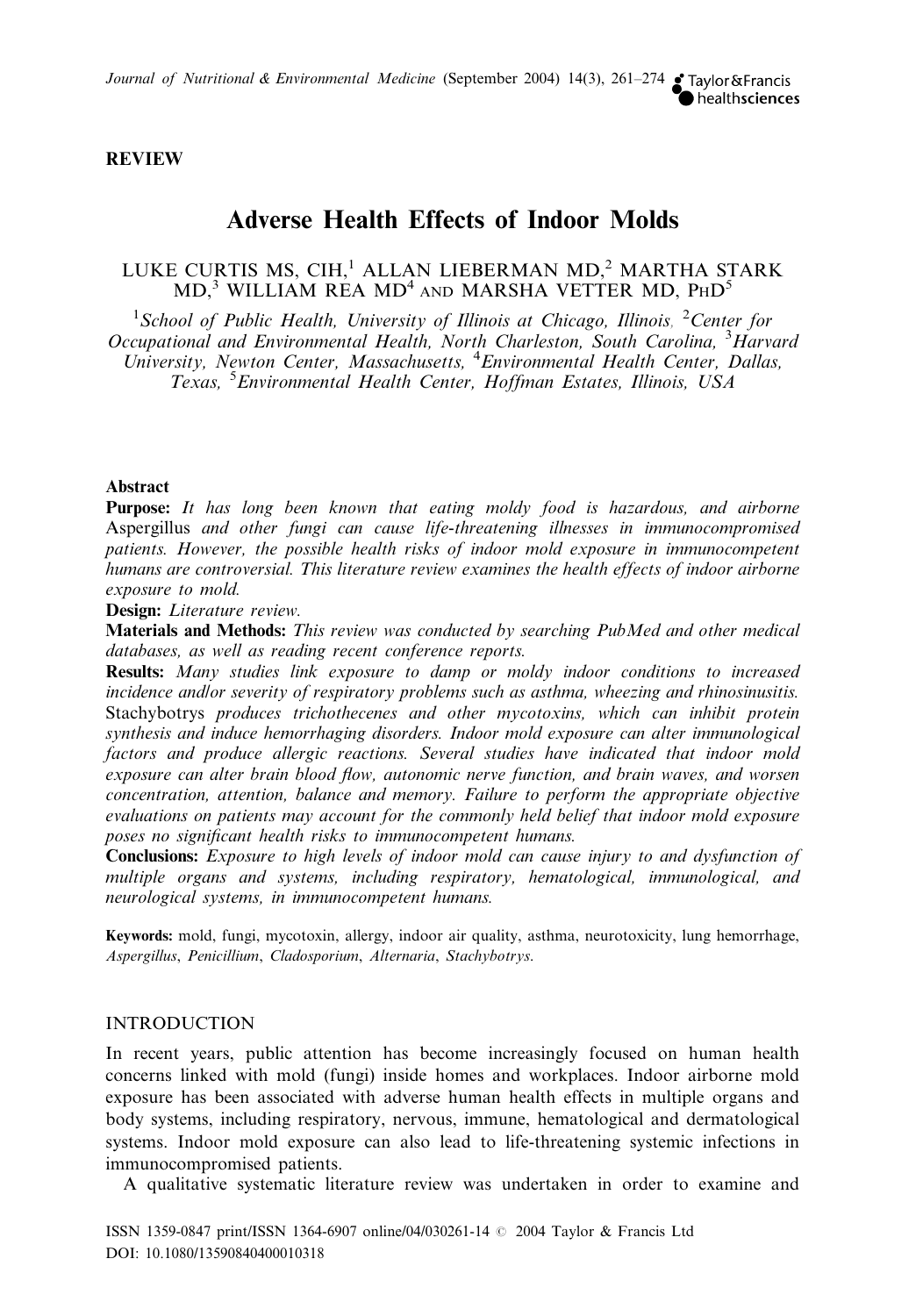# **REVIEW**

# Adverse Health Effects of Indoor Molds

# LUKE CURTIS MS, CIH,<sup>1</sup> ALLAN LIEBERMAN MD,<sup>2</sup> MARTHA STARK  $MD<sup>3</sup>$  WILLIAM REA  $MD<sup>4</sup>$  and MARSHA VETTER MD,  $PHD<sup>5</sup>$

<sup>1</sup>School of Public Health, University of Illinois at Chicago, Illinois, <sup>2</sup>Center for Occupational and Environmental Health, North Charleston, South Carolina, <sup>3</sup>Harvard University, Newton Center, Massachusetts, <sup>4</sup>Environmental Health Center, Dallas, Texas, <sup>5</sup> Environmental Health Center, Hoffman Estates, Illinois, USA

#### Abstract

Purpose: It has long been known that eating moldy food is hazardous, and airborne Aspergillus and other fungi can cause life-threatening illnesses in immunocompromised patients. However, the possible health risks of indoor mold exposure in immunocompetent humans are controversial. This literature review examines the health effects of indoor airborne exposure to mold.

Design: Literature review.

Materials and Methods: This review was conducted by searching PubMed and other medical databases, as well as reading recent conference reports.

Results: Many studies link exposure to damp or moldy indoor conditions to increased incidence and/or severity of respiratory problems such as asthma, wheezing and rhinosinusitis. Stachybotrys produces trichothecenes and other mycotoxins, which can inhibit protein synthesis and induce hemorrhaging disorders. Indoor mold exposure can alter immunological factors and produce allergic reactions. Several studies have indicated that indoor mold exposure can alter brain blood flow, autonomic nerve function, and brain waves, and worsen concentration, attention, balance and memory. Failure to perform the appropriate objective evaluations on patients may account for the commonly held belief that indoor mold exposure poses no significant health risks to immunocompetent humans.

Conclusions: Exposure to high levels of indoor mold can cause injury to and dysfunction of multiple organs and systems, including respiratory, hematological, immunological, and neurological systems, in immunocompetent humans.

Keywords: mold, fungi, mycotoxin, allergy, indoor air quality, asthma, neurotoxicity, lung hemorrhage, Aspergillus, Penicillium, Cladosporium, Alternaria, Stachybotrys.

### **INTRODUCTION**

In recent years, public attention has become increasingly focused on human health concerns linked with mold (fungi) inside homes and workplaces. Indoor airborne mold exposure has been associated with adverse human health effects in multiple organs and body systems, including respiratory, nervous, immune, hematological and dermatological systems. Indoor mold exposure can also lead to life-threatening systemic infections in immunocompromised patients.

A qualitative systematic literature review was undertaken in order to examine and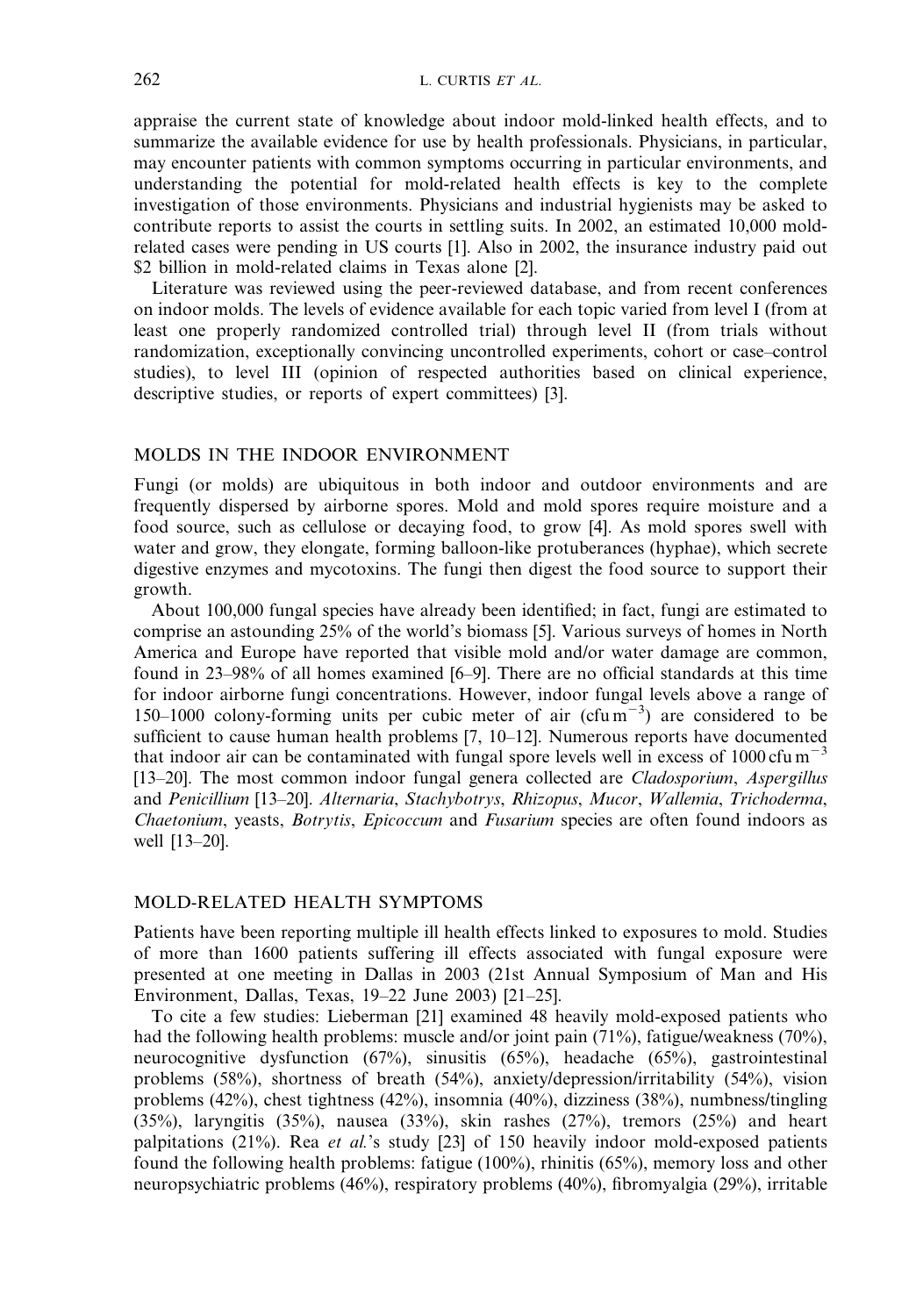appraise the current state of knowledge about indoor mold-linked health effects, and to summarize the available evidence for use by health professionals. Physicians, in particular, may encounter patients with common symptoms occurring in particular environments, and understanding the potential for mold-related health effects is key to the complete investigation of those environments. Physicians and industrial hygienists may be asked to contribute reports to assist the courts in settling suits. In 2002, an estimated 10,000 moldrelated cases were pending in US courts [1]. Also in 2002, the insurance industry paid out \$2 billion in mold-related claims in Texas alone [2].

Literature was reviewed using the peer-reviewed database, and from recent conferences on indoor molds. The levels of evidence available for each topic varied from level I (from at least one properly randomized controlled trial) through level II (from trials without randomization, exceptionally convincing uncontrolled experiments, cohort or case–control studies), to level III (opinion of respected authorities based on clinical experience, descriptive studies, or reports of expert committees) [3].

#### MOLDS IN THE INDOOR ENVIRONMENT

Fungi (or molds) are ubiquitous in both indoor and outdoor environments and are frequently dispersed by airborne spores. Mold and mold spores require moisture and a food source, such as cellulose or decaying food, to grow [4]. As mold spores swell with water and grow, they elongate, forming balloon-like protuberances (hyphae), which secrete digestive enzymes and mycotoxins. The fungi then digest the food source to support their growth.

About 100,000 fungal species have already been identified; in fact, fungi are estimated to comprise an astounding 25% of the world's biomass [5]. Various surveys of homes in North America and Europe have reported that visible mold and/or water damage are common, found in 23–98% of all homes examined [6–9]. There are no official standards at this time for indoor airborne fungi concentrations. However, indoor fungal levels above a range of 150–1000 colony-forming units per cubic meter of air  $(cfun<sup>-3</sup>)$  are considered to be sufficient to cause human health problems [7, 10–12]. Numerous reports have documented that indoor air can be contaminated with fungal spore levels well in excess of  $1000 \text{ c}$ fu m<sup>-3</sup> [13–20]. The most common indoor fungal genera collected are Cladosporium, Aspergillus and Penicillium [13–20]. Alternaria, Stachybotrys, Rhizopus, Mucor, Wallemia, Trichoderma, Chaetonium, yeasts, Botrytis, Epicoccum and Fusarium species are often found indoors as well [13–20].

#### MOLD-RELATED HEALTH SYMPTOMS

Patients have been reporting multiple ill health effects linked to exposures to mold. Studies of more than 1600 patients suffering ill effects associated with fungal exposure were presented at one meeting in Dallas in 2003 (21st Annual Symposium of Man and His Environment, Dallas, Texas, 19–22 June 2003) [21–25].

To cite a few studies: Lieberman [21] examined 48 heavily mold-exposed patients who had the following health problems: muscle and/or joint pain (71%), fatigue/weakness (70%), neurocognitive dysfunction (67%), sinusitis (65%), headache (65%), gastrointestinal problems (58%), shortness of breath (54%), anxiety/depression/irritability (54%), vision problems (42%), chest tightness (42%), insomnia (40%), dizziness (38%), numbness/tingling (35%), laryngitis (35%), nausea (33%), skin rashes (27%), tremors (25%) and heart palpitations (21%). Rea *et al.*'s study [23] of 150 heavily indoor mold-exposed patients found the following health problems: fatigue (100%), rhinitis (65%), memory loss and other neuropsychiatric problems (46%), respiratory problems (40%), fibromyalgia (29%), irritable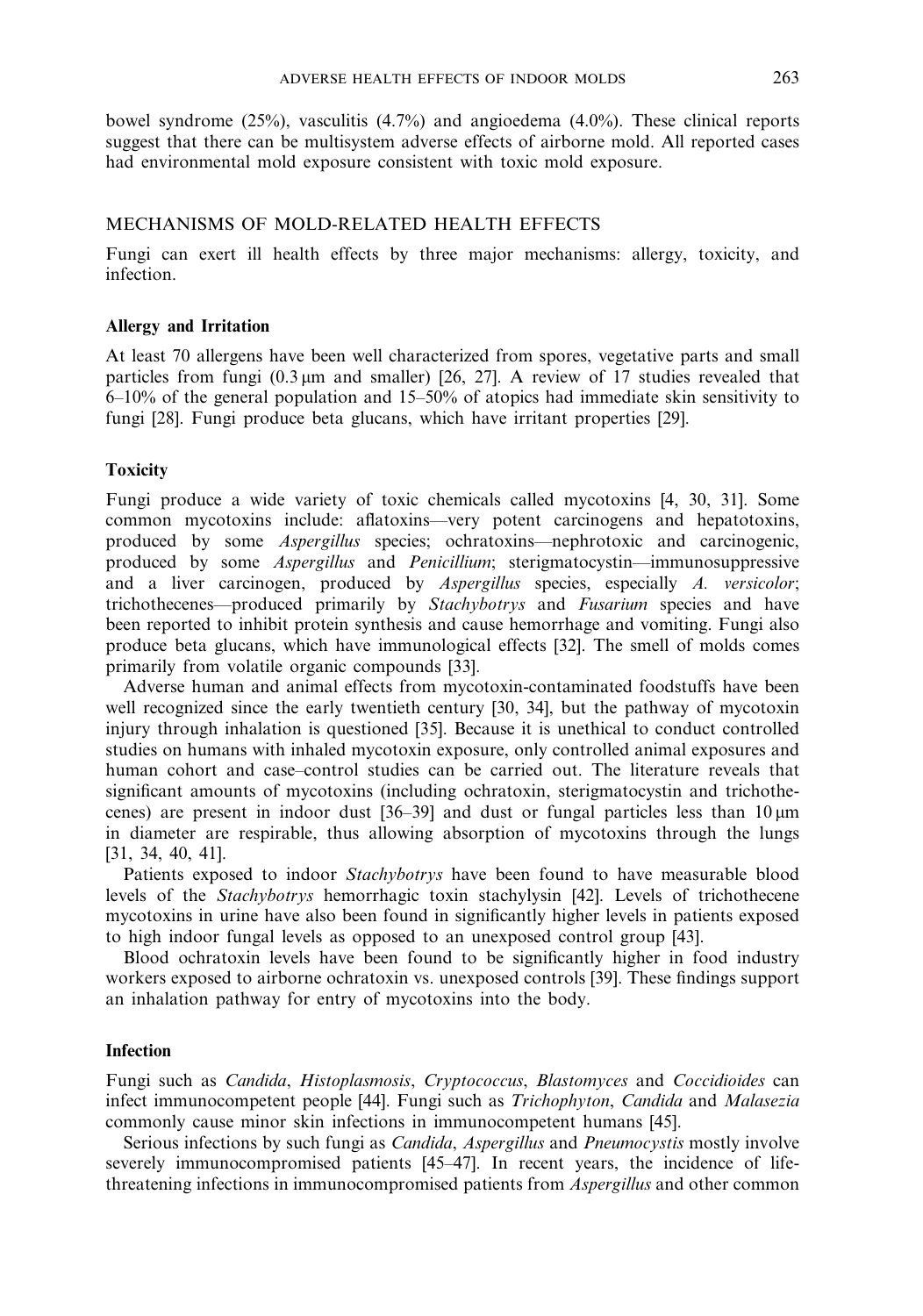bowel syndrome (25%), vasculitis (4.7%) and angioedema (4.0%). These clinical reports suggest that there can be multisystem adverse effects of airborne mold. All reported cases had environmental mold exposure consistent with toxic mold exposure.

## MECHANISMS OF MOLD-RELATED HEALTH EFFECTS

Fungi can exert ill health effects by three major mechanisms: allergy, toxicity, and infection.

### Allergy and Irritation

At least 70 allergens have been well characterized from spores, vegetative parts and small particles from fungi  $(0.3 \mu m$  and smaller) [26, 27]. A review of 17 studies revealed that 6–10% of the general population and 15–50% of atopics had immediate skin sensitivity to fungi [28]. Fungi produce beta glucans, which have irritant properties [29].

#### **Toxicity**

Fungi produce a wide variety of toxic chemicals called mycotoxins [4, 30, 31]. Some common mycotoxins include: aflatoxins—very potent carcinogens and hepatotoxins, produced by some Aspergillus species; ochratoxins—nephrotoxic and carcinogenic, produced by some Aspergillus and Penicillium; sterigmatocystin—immunosuppressive and a liver carcinogen, produced by Aspergillus species, especially A. versicolor; trichothecenes—produced primarily by Stachybotrys and Fusarium species and have been reported to inhibit protein synthesis and cause hemorrhage and vomiting. Fungi also produce beta glucans, which have immunological effects [32]. The smell of molds comes primarily from volatile organic compounds [33].

Adverse human and animal effects from mycotoxin-contaminated foodstuffs have been well recognized since the early twentieth century [30, 34], but the pathway of mycotoxin injury through inhalation is questioned [35]. Because it is unethical to conduct controlled studies on humans with inhaled mycotoxin exposure, only controlled animal exposures and human cohort and case–control studies can be carried out. The literature reveals that significant amounts of mycotoxins (including ochratoxin, sterigmatocystin and trichothecenes) are present in indoor dust  $[36-39]$  and dust or fungal particles less than  $10 \mu m$ in diameter are respirable, thus allowing absorption of mycotoxins through the lungs [31, 34, 40, 41].

Patients exposed to indoor Stachybotrys have been found to have measurable blood levels of the Stachybotrys hemorrhagic toxin stachylysin [42]. Levels of trichothecene mycotoxins in urine have also been found in significantly higher levels in patients exposed to high indoor fungal levels as opposed to an unexposed control group [43].

Blood ochratoxin levels have been found to be significantly higher in food industry workers exposed to airborne ochratoxin vs. unexposed controls [39]. These findings support an inhalation pathway for entry of mycotoxins into the body.

#### Infection

Fungi such as Candida, Histoplasmosis, Cryptococcus, Blastomyces and Coccidioides can infect immunocompetent people [44]. Fungi such as Trichophyton, Candida and Malasezia commonly cause minor skin infections in immunocompetent humans [45].

Serious infections by such fungi as *Candida*, *Aspergillus* and *Pneumocystis* mostly involve severely immunocompromised patients [45–47]. In recent years, the incidence of lifethreatening infections in immunocompromised patients from Aspergillus and other common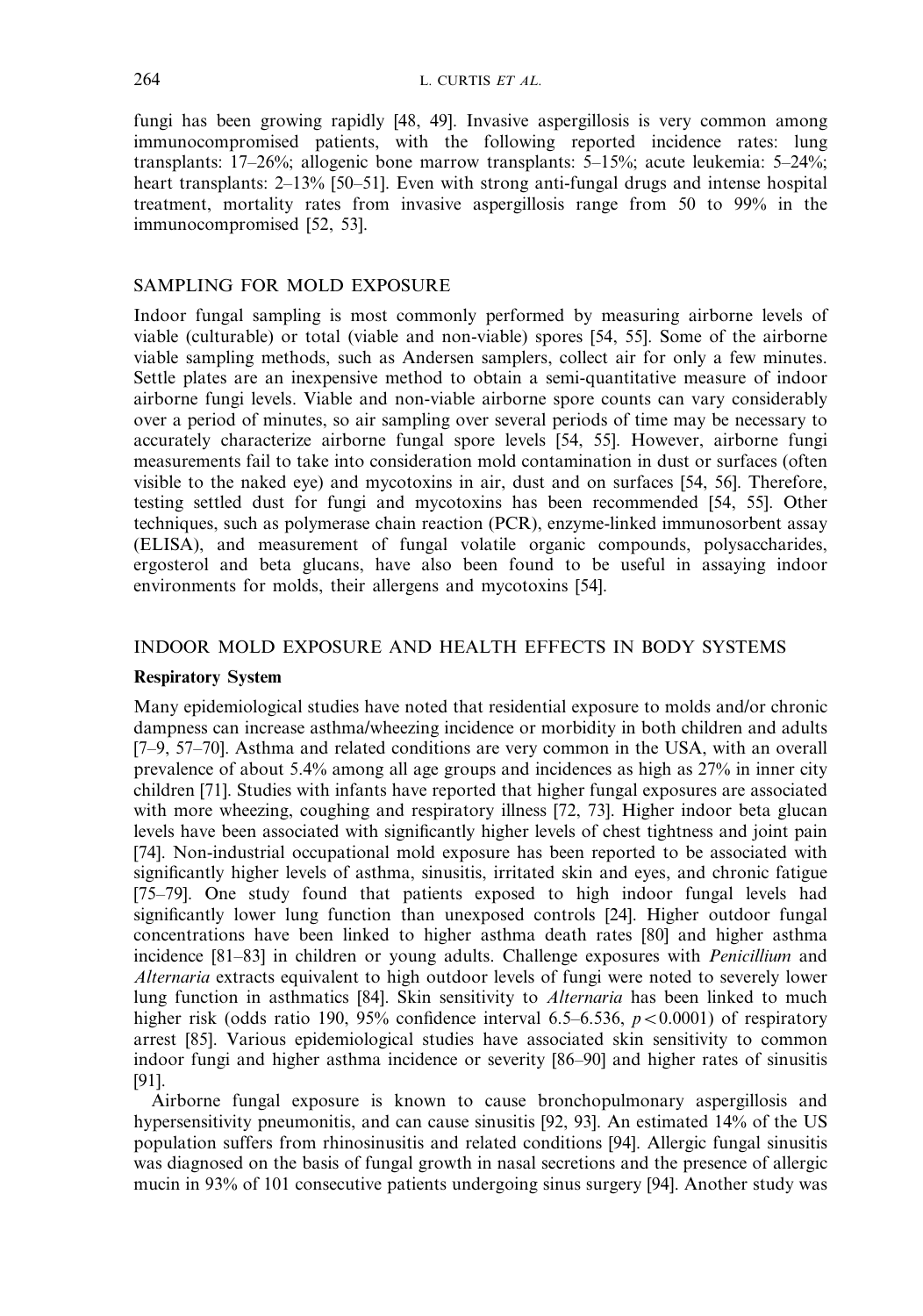fungi has been growing rapidly [48, 49]. Invasive aspergillosis is very common among immunocompromised patients, with the following reported incidence rates: lung transplants: 17–26%; allogenic bone marrow transplants: 5–15%; acute leukemia: 5–24%; heart transplants: 2–13% [50–51]. Even with strong anti-fungal drugs and intense hospital treatment, mortality rates from invasive aspergillosis range from 50 to 99% in the immunocompromised [52, 53].

#### SAMPLING FOR MOLD EXPOSURE

Indoor fungal sampling is most commonly performed by measuring airborne levels of viable (culturable) or total (viable and non-viable) spores [54, 55]. Some of the airborne viable sampling methods, such as Andersen samplers, collect air for only a few minutes. Settle plates are an inexpensive method to obtain a semi-quantitative measure of indoor airborne fungi levels. Viable and non-viable airborne spore counts can vary considerably over a period of minutes, so air sampling over several periods of time may be necessary to accurately characterize airborne fungal spore levels [54, 55]. However, airborne fungi measurements fail to take into consideration mold contamination in dust or surfaces (often visible to the naked eye) and mycotoxins in air, dust and on surfaces [54, 56]. Therefore, testing settled dust for fungi and mycotoxins has been recommended [54, 55]. Other techniques, such as polymerase chain reaction (PCR), enzyme-linked immunosorbent assay (ELISA), and measurement of fungal volatile organic compounds, polysaccharides, ergosterol and beta glucans, have also been found to be useful in assaying indoor environments for molds, their allergens and mycotoxins [54].

# INDOOR MOLD EXPOSURE AND HEALTH EFFECTS IN BODY SYSTEMS

#### Respiratory System

Many epidemiological studies have noted that residential exposure to molds and/or chronic dampness can increase asthma/wheezing incidence or morbidity in both children and adults [7–9, 57–70]. Asthma and related conditions are very common in the USA, with an overall prevalence of about 5.4% among all age groups and incidences as high as 27% in inner city children [71]. Studies with infants have reported that higher fungal exposures are associated with more wheezing, coughing and respiratory illness [72, 73]. Higher indoor beta glucan levels have been associated with significantly higher levels of chest tightness and joint pain [74]. Non-industrial occupational mold exposure has been reported to be associated with significantly higher levels of asthma, sinusitis, irritated skin and eyes, and chronic fatigue [75–79]. One study found that patients exposed to high indoor fungal levels had significantly lower lung function than unexposed controls [24]. Higher outdoor fungal concentrations have been linked to higher asthma death rates [80] and higher asthma incidence [81–83] in children or young adults. Challenge exposures with Penicillium and Alternaria extracts equivalent to high outdoor levels of fungi were noted to severely lower lung function in asthmatics [84]. Skin sensitivity to Alternaria has been linked to much higher risk (odds ratio 190, 95% confidence interval 6.5–6.536,  $p < 0.0001$ ) of respiratory arrest [85]. Various epidemiological studies have associated skin sensitivity to common indoor fungi and higher asthma incidence or severity [86–90] and higher rates of sinusitis [91].

Airborne fungal exposure is known to cause bronchopulmonary aspergillosis and hypersensitivity pneumonitis, and can cause sinusitis [92, 93]. An estimated 14% of the US population suffers from rhinosinusitis and related conditions [94]. Allergic fungal sinusitis was diagnosed on the basis of fungal growth in nasal secretions and the presence of allergic mucin in 93% of 101 consecutive patients undergoing sinus surgery [94]. Another study was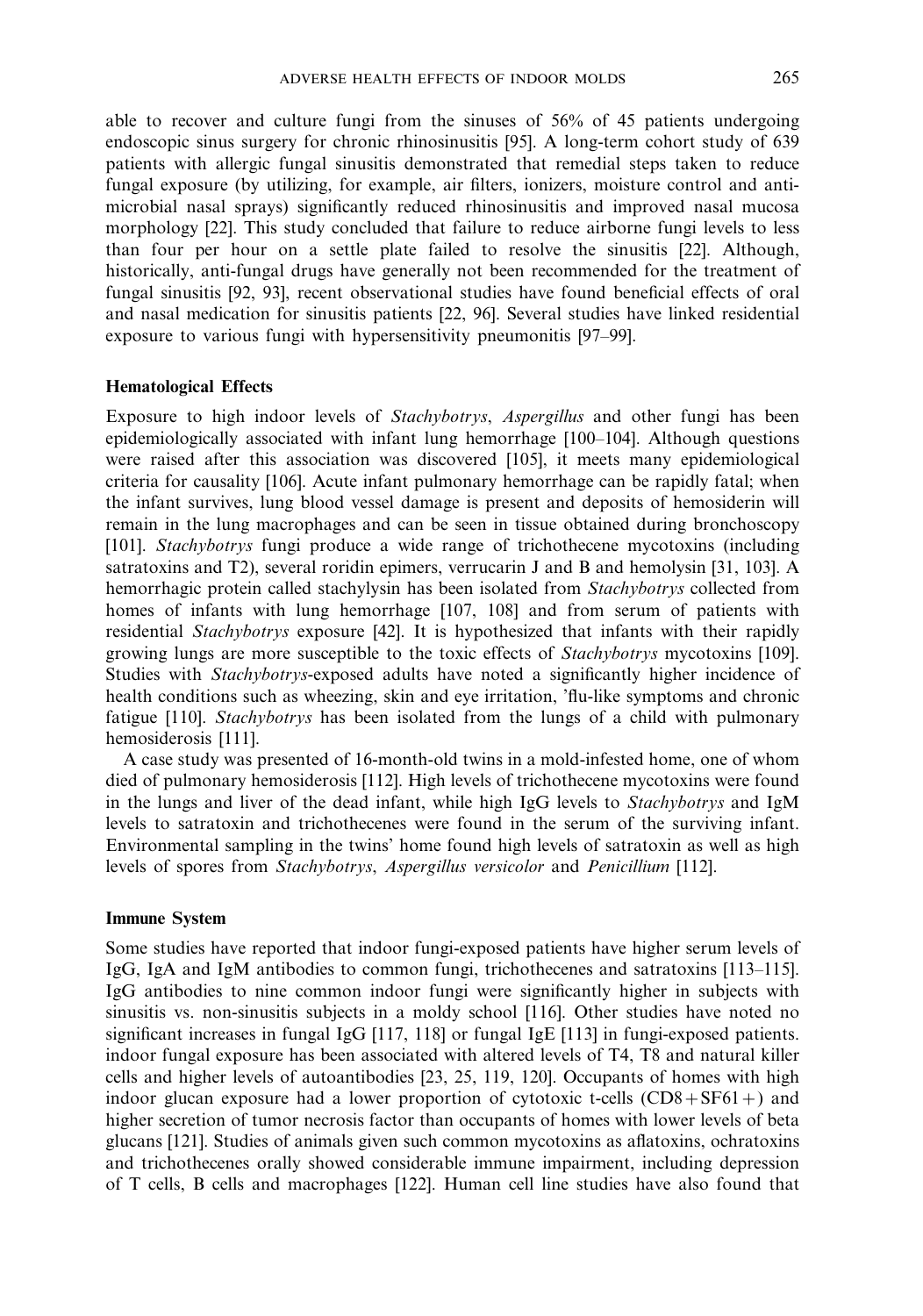able to recover and culture fungi from the sinuses of 56% of 45 patients undergoing endoscopic sinus surgery for chronic rhinosinusitis [95]. A long-term cohort study of 639 patients with allergic fungal sinusitis demonstrated that remedial steps taken to reduce fungal exposure (by utilizing, for example, air filters, ionizers, moisture control and antimicrobial nasal sprays) significantly reduced rhinosinusitis and improved nasal mucosa morphology [22]. This study concluded that failure to reduce airborne fungi levels to less than four per hour on a settle plate failed to resolve the sinusitis [22]. Although, historically, anti-fungal drugs have generally not been recommended for the treatment of fungal sinusitis [92, 93], recent observational studies have found beneficial effects of oral and nasal medication for sinusitis patients [22, 96]. Several studies have linked residential exposure to various fungi with hypersensitivity pneumonitis [97–99].

#### Hematological Effects

Exposure to high indoor levels of Stachybotrys, Aspergillus and other fungi has been epidemiologically associated with infant lung hemorrhage [100–104]. Although questions were raised after this association was discovered [105], it meets many epidemiological criteria for causality [106]. Acute infant pulmonary hemorrhage can be rapidly fatal; when the infant survives, lung blood vessel damage is present and deposits of hemosiderin will remain in the lung macrophages and can be seen in tissue obtained during bronchoscopy [101]. Stachybotrys fungi produce a wide range of trichothecene mycotoxins (including satratoxins and T2), several roridin epimers, verrucarin J and B and hemolysin [31, 103]. A hemorrhagic protein called stachylysin has been isolated from Stachybotrys collected from homes of infants with lung hemorrhage [107, 108] and from serum of patients with residential Stachybotrys exposure [42]. It is hypothesized that infants with their rapidly growing lungs are more susceptible to the toxic effects of Stachybotrys mycotoxins [109]. Studies with Stachybotrys-exposed adults have noted a significantly higher incidence of health conditions such as wheezing, skin and eye irritation, 'flu-like symptoms and chronic fatigue [110]. Stachybotrys has been isolated from the lungs of a child with pulmonary hemosiderosis [111].

A case study was presented of 16-month-old twins in a mold-infested home, one of whom died of pulmonary hemosiderosis [112]. High levels of trichothecene mycotoxins were found in the lungs and liver of the dead infant, while high IgG levels to Stachybotrys and IgM levels to satratoxin and trichothecenes were found in the serum of the surviving infant. Environmental sampling in the twins' home found high levels of satratoxin as well as high levels of spores from Stachybotrys, Aspergillus versicolor and Penicillium [112].

#### Immune System

Some studies have reported that indoor fungi-exposed patients have higher serum levels of IgG, IgA and IgM antibodies to common fungi, trichothecenes and satratoxins [113–115]. IgG antibodies to nine common indoor fungi were significantly higher in subjects with sinusitis vs. non-sinusitis subjects in a moldy school [116]. Other studies have noted no significant increases in fungal IgG [117, 118] or fungal IgE [113] in fungi-exposed patients. indoor fungal exposure has been associated with altered levels of T4, T8 and natural killer cells and higher levels of autoantibodies [23, 25, 119, 120]. Occupants of homes with high indoor glucan exposure had a lower proportion of cytotoxic t-cells  $(CD8 + SF61+)$  and higher secretion of tumor necrosis factor than occupants of homes with lower levels of beta glucans [121]. Studies of animals given such common mycotoxins as aflatoxins, ochratoxins and trichothecenes orally showed considerable immune impairment, including depression of T cells, B cells and macrophages [122]. Human cell line studies have also found that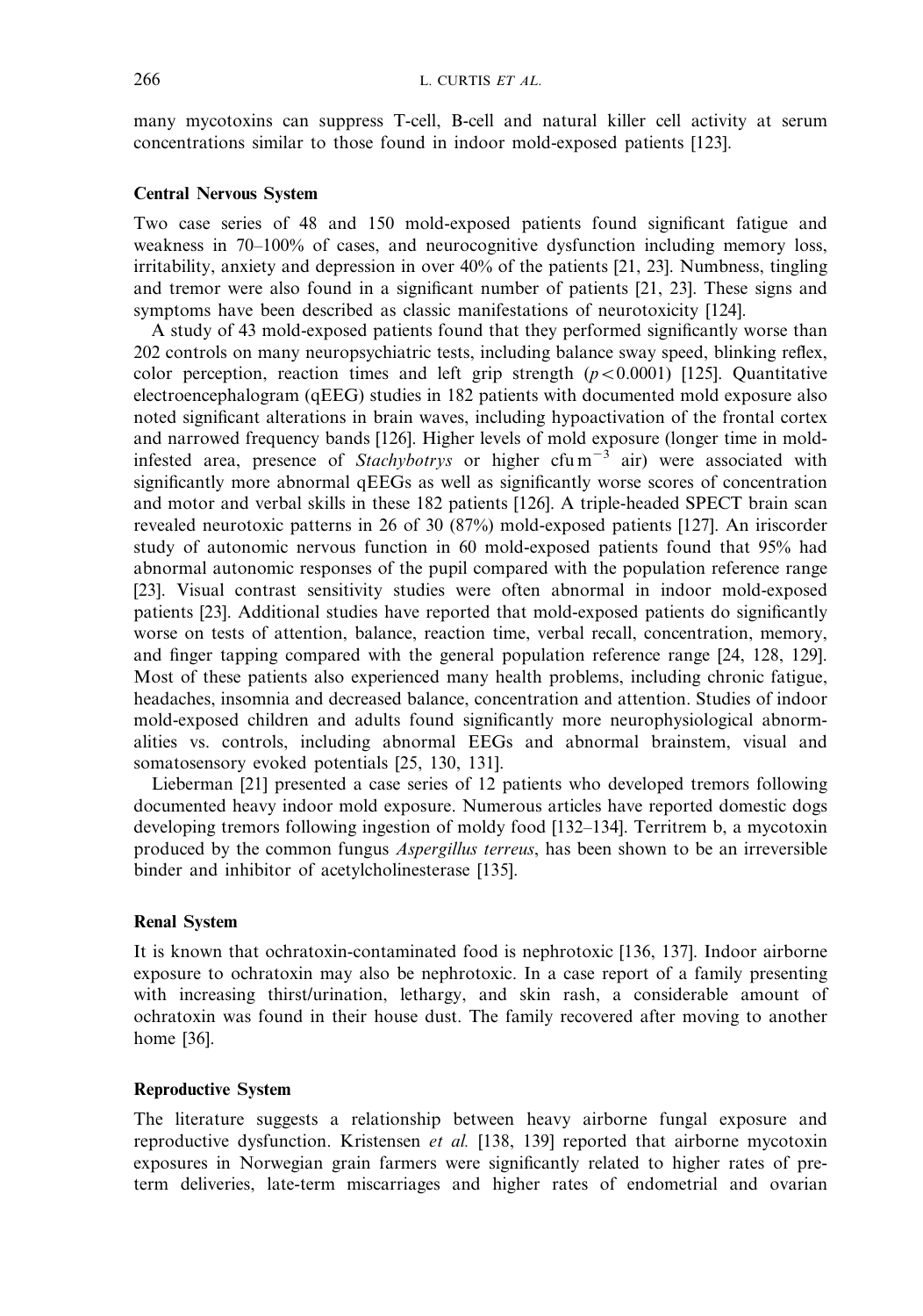many mycotoxins can suppress T-cell, B-cell and natural killer cell activity at serum concentrations similar to those found in indoor mold-exposed patients [123].

#### Central Nervous System

Two case series of 48 and 150 mold-exposed patients found significant fatigue and weakness in 70–100% of cases, and neurocognitive dysfunction including memory loss, irritability, anxiety and depression in over 40% of the patients [21, 23]. Numbness, tingling and tremor were also found in a significant number of patients [21, 23]. These signs and symptoms have been described as classic manifestations of neurotoxicity [124].

A study of 43 mold-exposed patients found that they performed significantly worse than 202 controls on many neuropsychiatric tests, including balance sway speed, blinking reflex, color perception, reaction times and left grip strength  $(p<0.0001)$  [125]. Quantitative electroencephalogram (qEEG) studies in 182 patients with documented mold exposure also noted significant alterations in brain waves, including hypoactivation of the frontal cortex and narrowed frequency bands [126]. Higher levels of mold exposure (longer time in moldinfested area, presence of *Stachybotrys* or higher cfu m<sup>-3</sup> air) were associated with significantly more abnormal qEEGs as well as significantly worse scores of concentration and motor and verbal skills in these 182 patients [126]. A triple-headed SPECT brain scan revealed neurotoxic patterns in 26 of 30 (87%) mold-exposed patients [127]. An iriscorder study of autonomic nervous function in 60 mold-exposed patients found that 95% had abnormal autonomic responses of the pupil compared with the population reference range [23]. Visual contrast sensitivity studies were often abnormal in indoor mold-exposed patients [23]. Additional studies have reported that mold-exposed patients do significantly worse on tests of attention, balance, reaction time, verbal recall, concentration, memory, and finger tapping compared with the general population reference range [24, 128, 129]. Most of these patients also experienced many health problems, including chronic fatigue, headaches, insomnia and decreased balance, concentration and attention. Studies of indoor mold-exposed children and adults found significantly more neurophysiological abnormalities vs. controls, including abnormal EEGs and abnormal brainstem, visual and somatosensory evoked potentials [25, 130, 131].

Lieberman [21] presented a case series of 12 patients who developed tremors following documented heavy indoor mold exposure. Numerous articles have reported domestic dogs developing tremors following ingestion of moldy food [132–134]. Territrem b, a mycotoxin produced by the common fungus Aspergillus terreus, has been shown to be an irreversible binder and inhibitor of acetylcholinesterase [135].

#### Renal System

It is known that ochratoxin-contaminated food is nephrotoxic [136, 137]. Indoor airborne exposure to ochratoxin may also be nephrotoxic. In a case report of a family presenting with increasing thirst/urination, lethargy, and skin rash, a considerable amount of ochratoxin was found in their house dust. The family recovered after moving to another home [36].

#### Reproductive System

The literature suggests a relationship between heavy airborne fungal exposure and reproductive dysfunction. Kristensen *et al.* [138, 139] reported that airborne mycotoxin exposures in Norwegian grain farmers were significantly related to higher rates of preterm deliveries, late-term miscarriages and higher rates of endometrial and ovarian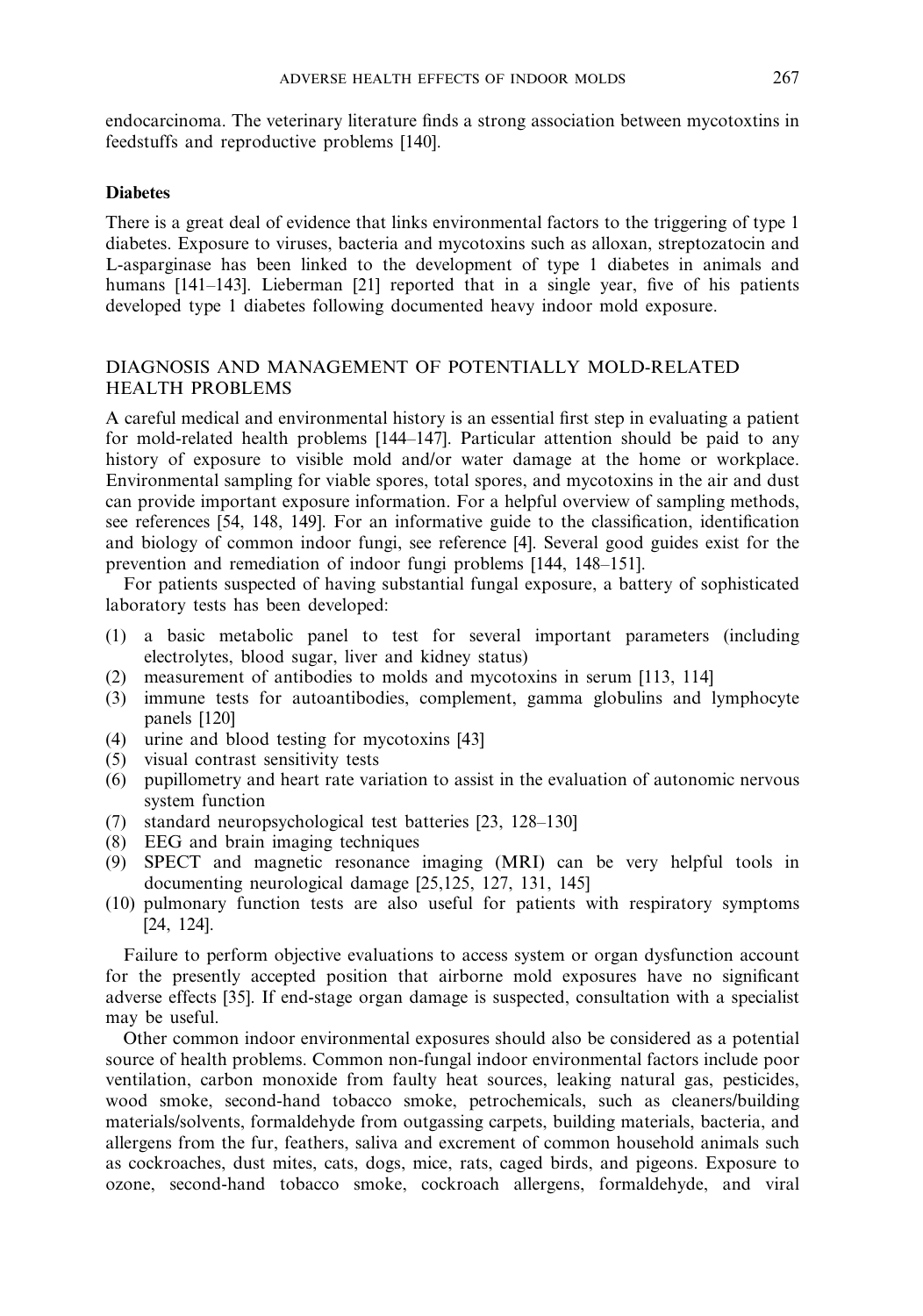endocarcinoma. The veterinary literature finds a strong association between mycotoxtins in feedstuffs and reproductive problems [140].

#### Diabetes

There is a great deal of evidence that links environmental factors to the triggering of type 1 diabetes. Exposure to viruses, bacteria and mycotoxins such as alloxan, streptozatocin and L-asparginase has been linked to the development of type 1 diabetes in animals and humans [141–143]. Lieberman [21] reported that in a single year, five of his patients developed type 1 diabetes following documented heavy indoor mold exposure.

# DIAGNOSIS AND MANAGEMENT OF POTENTIALLY MOLD-RELATED HEALTH PROBLEMS

A careful medical and environmental history is an essential first step in evaluating a patient for mold-related health problems [144–147]. Particular attention should be paid to any history of exposure to visible mold and/or water damage at the home or workplace. Environmental sampling for viable spores, total spores, and mycotoxins in the air and dust can provide important exposure information. For a helpful overview of sampling methods, see references [54, 148, 149]. For an informative guide to the classification, identification and biology of common indoor fungi, see reference [4]. Several good guides exist for the prevention and remediation of indoor fungi problems [144, 148–151].

For patients suspected of having substantial fungal exposure, a battery of sophisticated laboratory tests has been developed:

- (1) a basic metabolic panel to test for several important parameters (including electrolytes, blood sugar, liver and kidney status)
- (2) measurement of antibodies to molds and mycotoxins in serum [113, 114]
- (3) immune tests for autoantibodies, complement, gamma globulins and lymphocyte panels [120]
- (4) urine and blood testing for mycotoxins [43]
- (5) visual contrast sensitivity tests
- (6) pupillometry and heart rate variation to assist in the evaluation of autonomic nervous system function
- (7) standard neuropsychological test batteries [23, 128–130]
- (8) EEG and brain imaging techniques
- (9) SPECT and magnetic resonance imaging (MRI) can be very helpful tools in documenting neurological damage [25,125, 127, 131, 145]
- (10) pulmonary function tests are also useful for patients with respiratory symptoms [24, 124].

Failure to perform objective evaluations to access system or organ dysfunction account for the presently accepted position that airborne mold exposures have no significant adverse effects [35]. If end-stage organ damage is suspected, consultation with a specialist may be useful.

Other common indoor environmental exposures should also be considered as a potential source of health problems. Common non-fungal indoor environmental factors include poor ventilation, carbon monoxide from faulty heat sources, leaking natural gas, pesticides, wood smoke, second-hand tobacco smoke, petrochemicals, such as cleaners/building materials/solvents, formaldehyde from outgassing carpets, building materials, bacteria, and allergens from the fur, feathers, saliva and excrement of common household animals such as cockroaches, dust mites, cats, dogs, mice, rats, caged birds, and pigeons. Exposure to ozone, second-hand tobacco smoke, cockroach allergens, formaldehyde, and viral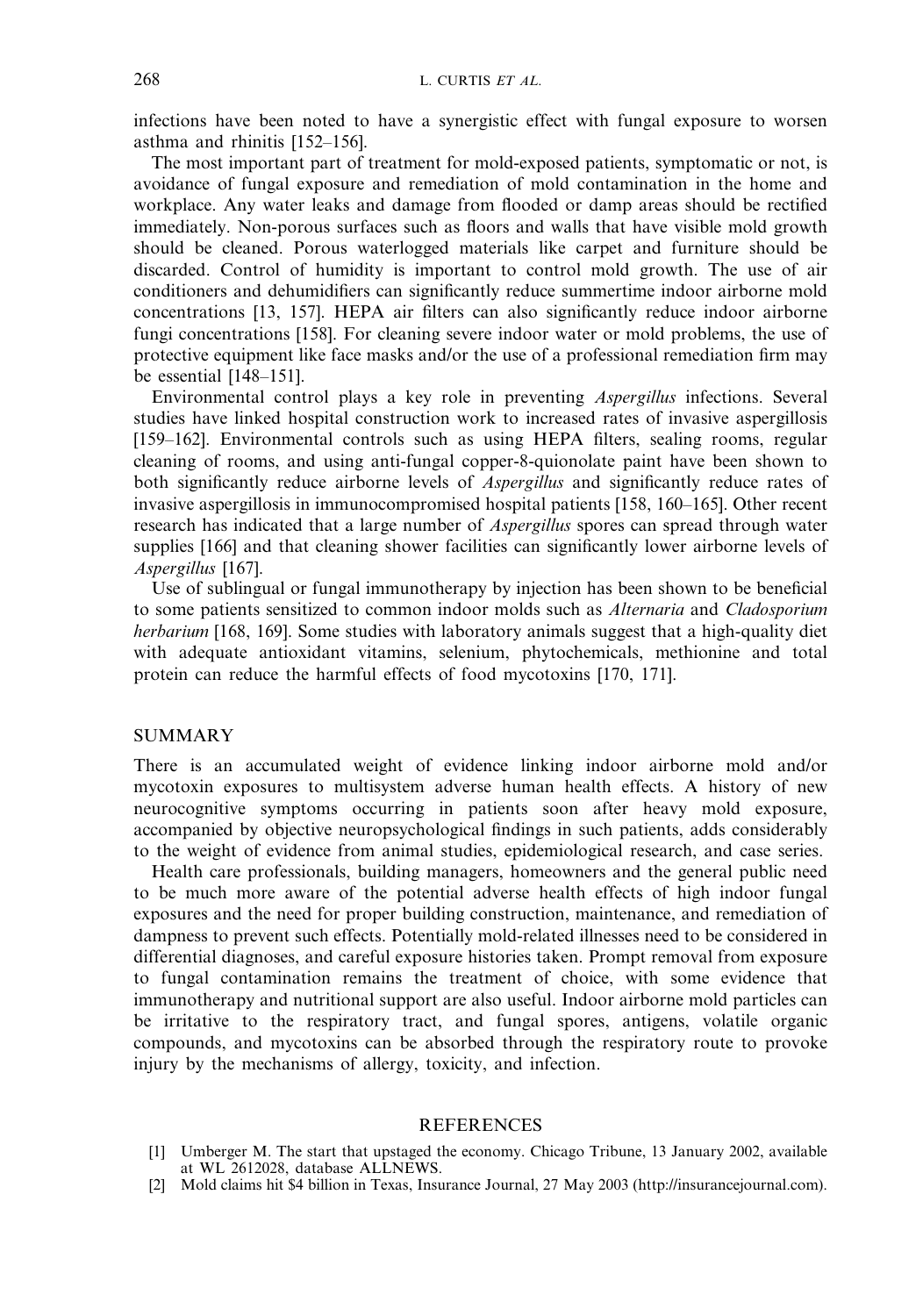infections have been noted to have a synergistic effect with fungal exposure to worsen asthma and rhinitis [152–156].

The most important part of treatment for mold-exposed patients, symptomatic or not, is avoidance of fungal exposure and remediation of mold contamination in the home and workplace. Any water leaks and damage from flooded or damp areas should be rectified immediately. Non-porous surfaces such as floors and walls that have visible mold growth should be cleaned. Porous waterlogged materials like carpet and furniture should be discarded. Control of humidity is important to control mold growth. The use of air conditioners and dehumidifiers can significantly reduce summertime indoor airborne mold concentrations [13, 157]. HEPA air filters can also significantly reduce indoor airborne fungi concentrations [158]. For cleaning severe indoor water or mold problems, the use of protective equipment like face masks and/or the use of a professional remediation firm may be essential [148–151].

Environmental control plays a key role in preventing Aspergillus infections. Several studies have linked hospital construction work to increased rates of invasive aspergillosis [159–162]. Environmental controls such as using HEPA filters, sealing rooms, regular cleaning of rooms, and using anti-fungal copper-8-quionolate paint have been shown to both significantly reduce airborne levels of Aspergillus and significantly reduce rates of invasive aspergillosis in immunocompromised hospital patients [158, 160–165]. Other recent research has indicated that a large number of *Aspergillus* spores can spread through water supplies [166] and that cleaning shower facilities can significantly lower airborne levels of Aspergillus [167].

Use of sublingual or fungal immunotherapy by injection has been shown to be beneficial to some patients sensitized to common indoor molds such as Alternaria and Cladosporium herbarium [168, 169]. Some studies with laboratory animals suggest that a high-quality diet with adequate antioxidant vitamins, selenium, phytochemicals, methionine and total protein can reduce the harmful effects of food mycotoxins [170, 171].

#### SUMMARY

There is an accumulated weight of evidence linking indoor airborne mold and/or mycotoxin exposures to multisystem adverse human health effects. A history of new neurocognitive symptoms occurring in patients soon after heavy mold exposure, accompanied by objective neuropsychological findings in such patients, adds considerably to the weight of evidence from animal studies, epidemiological research, and case series.

Health care professionals, building managers, homeowners and the general public need to be much more aware of the potential adverse health effects of high indoor fungal exposures and the need for proper building construction, maintenance, and remediation of dampness to prevent such effects. Potentially mold-related illnesses need to be considered in differential diagnoses, and careful exposure histories taken. Prompt removal from exposure to fungal contamination remains the treatment of choice, with some evidence that immunotherapy and nutritional support are also useful. Indoor airborne mold particles can be irritative to the respiratory tract, and fungal spores, antigens, volatile organic compounds, and mycotoxins can be absorbed through the respiratory route to provoke injury by the mechanisms of allergy, toxicity, and infection.

## **REFERENCES**

- [1] Umberger M. The start that upstaged the economy. Chicago Tribune, 13 January 2002, available at WL 2612028, database ALLNEWS.
- [2] Mold claims hit \$4 billion in Texas, Insurance Journal, 27 May 2003 (http://insurancejournal.com).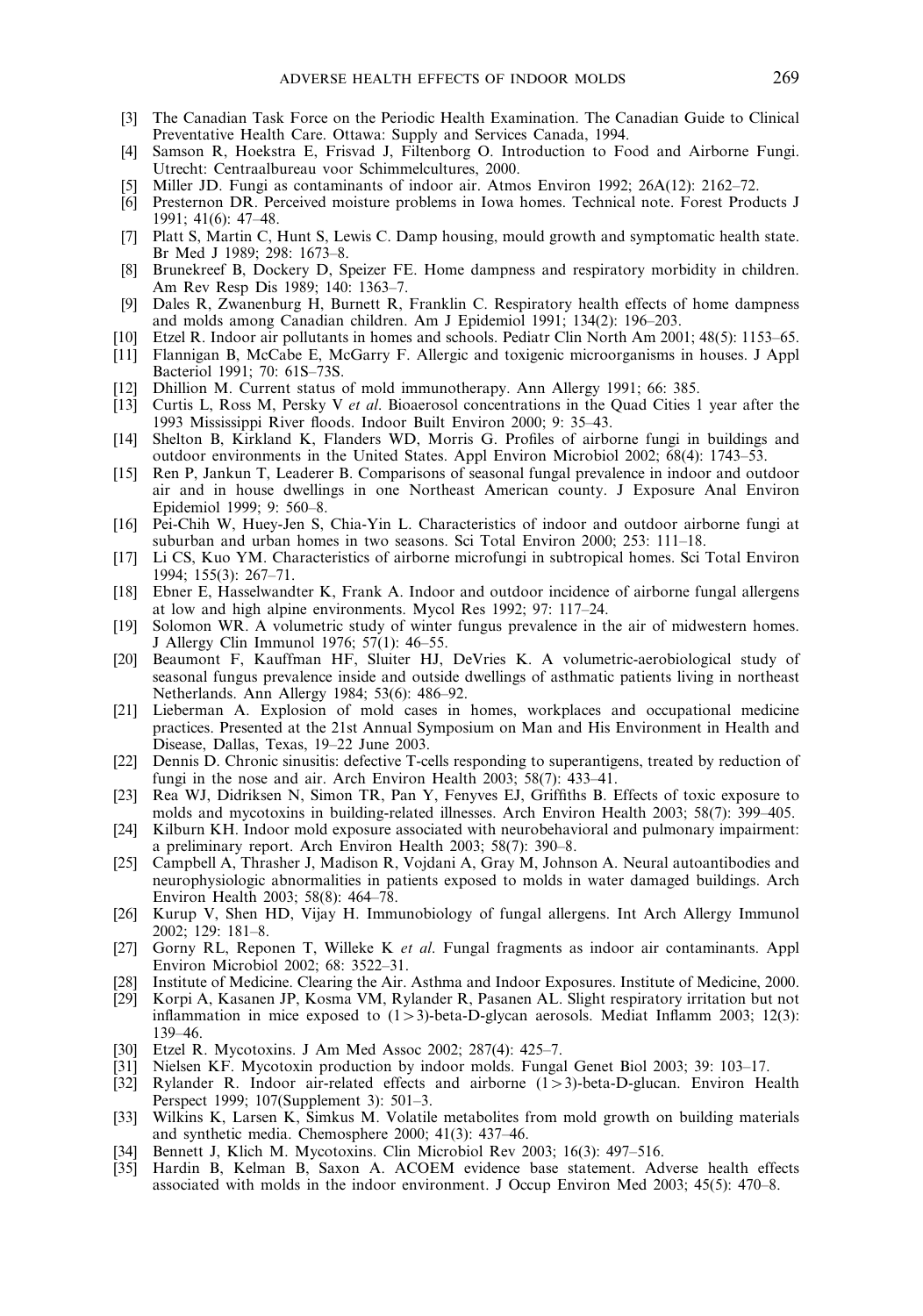- [3] The Canadian Task Force on the Periodic Health Examination. The Canadian Guide to Clinical Preventative Health Care. Ottawa: Supply and Services Canada, 1994.
- [4] Samson R, Hoekstra E, Frisvad J, Filtenborg O. Introduction to Food and Airborne Fungi. Utrecht: Centraalbureau voor Schimmelcultures, 2000.
- [5] Miller JD. Fungi as contaminants of indoor air. Atmos Environ 1992; 26A(12): 2162–72.
- [6] Presternon DR. Perceived moisture problems in Iowa homes. Technical note. Forest Products J 1991; 41(6): 47–48.
- [7] Platt S, Martin C, Hunt S, Lewis C. Damp housing, mould growth and symptomatic health state. Br Med J 1989; 298: 1673–8.
- [8] Brunekreef B, Dockery D, Speizer FE. Home dampness and respiratory morbidity in children. Am Rev Resp Dis 1989; 140: 1363–7.
- [9] Dales R, Zwanenburg H, Burnett R, Franklin C. Respiratory health effects of home dampness and molds among Canadian children. Am J Epidemiol 1991; 134(2): 196–203.
- [10] Etzel R. Indoor air pollutants in homes and schools. Pediatr Clin North Am 2001; 48(5): 1153–65.
- [11] Flannigan B, McCabe E, McGarry F. Allergic and toxigenic microorganisms in houses. J Appl Bacteriol 1991; 70: 61S–73S.
- [12] Dhillion M. Current status of mold immunotherapy. Ann Allergy 1991; 66: 385.
- [13] Curtis L, Ross M, Persky V et al. Bioaerosol concentrations in the Quad Cities 1 year after the 1993 Mississippi River floods. Indoor Built Environ 2000; 9: 35–43.
- [14] Shelton B, Kirkland K, Flanders WD, Morris G. Profiles of airborne fungi in buildings and outdoor environments in the United States. Appl Environ Microbiol 2002; 68(4): 1743–53.
- [15] Ren P, Jankun T, Leaderer B. Comparisons of seasonal fungal prevalence in indoor and outdoor air and in house dwellings in one Northeast American county. J Exposure Anal Environ Epidemiol 1999; 9: 560–8.
- [16] Pei-Chih W, Huey-Jen S, Chia-Yin L. Characteristics of indoor and outdoor airborne fungi at suburban and urban homes in two seasons. Sci Total Environ 2000; 253: 111–18.
- [17] Li CS, Kuo YM. Characteristics of airborne microfungi in subtropical homes. Sci Total Environ 1994; 155(3): 267–71.
- [18] Ebner E, Hasselwandter K, Frank A. Indoor and outdoor incidence of airborne fungal allergens at low and high alpine environments. Mycol Res 1992; 97: 117–24.
- [19] Solomon WR. A volumetric study of winter fungus prevalence in the air of midwestern homes. J Allergy Clin Immunol 1976; 57(1): 46–55.
- [20] Beaumont F, Kauffman HF, Sluiter HJ, DeVries K. A volumetric-aerobiological study of seasonal fungus prevalence inside and outside dwellings of asthmatic patients living in northeast Netherlands. Ann Allergy 1984; 53(6): 486–92.
- [21] Lieberman A. Explosion of mold cases in homes, workplaces and occupational medicine practices. Presented at the 21st Annual Symposium on Man and His Environment in Health and Disease, Dallas, Texas, 19–22 June 2003.
- [22] Dennis D. Chronic sinusitis: defective T-cells responding to superantigens, treated by reduction of fungi in the nose and air. Arch Environ Health 2003; 58(7): 433–41.
- [23] Rea WJ, Didriksen N, Simon TR, Pan Y, Fenyves EJ, Griffiths B. Effects of toxic exposure to molds and mycotoxins in building-related illnesses. Arch Environ Health 2003; 58(7): 399–405.
- [24] Kilburn KH. Indoor mold exposure associated with neurobehavioral and pulmonary impairment: a preliminary report. Arch Environ Health 2003; 58(7): 390–8.
- [25] Campbell A, Thrasher J, Madison R, Vojdani A, Gray M, Johnson A. Neural autoantibodies and neurophysiologic abnormalities in patients exposed to molds in water damaged buildings. Arch Environ Health 2003; 58(8): 464–78.
- [26] Kurup V, Shen HD, Vijay H. Immunobiology of fungal allergens. Int Arch Allergy Immunol 2002; 129: 181–8.
- [27] Gorny RL, Reponen T, Willeke K et al. Fungal fragments as indoor air contaminants. Appl Environ Microbiol 2002; 68: 3522–31.
- Institute of Medicine. Clearing the Air. Asthma and Indoor Exposures. Institute of Medicine, 2000.
- [29] Korpi A, Kasanen JP, Kosma VM, Rylander R, Pasanen AL. Slight respiratory irritation but not inflammation in mice exposed to  $(1>3)$ -beta-D-glycan aerosols. Mediat Inflamm 2003; 12(3): 139–46.
- [30] Etzel R. Mycotoxins. J Am Med Assoc 2002; 287(4): 425–7.<br>[31] Nielsen KF. Mycotoxin production by indoor molds. Funga
- Nielsen KF. Mycotoxin production by indoor molds. Fungal Genet Biol 2003; 39: 103–17.
- [32] Rylander R. Indoor air-related effects and airborne  $(1>3)$ -beta-D-glucan. Environ Health Perspect 1999; 107(Supplement 3): 501–3.
- [33] Wilkins K, Larsen K, Simkus M. Volatile metabolites from mold growth on building materials and synthetic media. Chemosphere 2000; 41(3): 437–46.
- [34] Bennett J, Klich M. Mycotoxins. Clin Microbiol Rev 2003; 16(3): 497–516.
- [35] Hardin B, Kelman B, Saxon A. ACOEM evidence base statement. Adverse health effects associated with molds in the indoor environment. J Occup Environ Med 2003; 45(5): 470–8.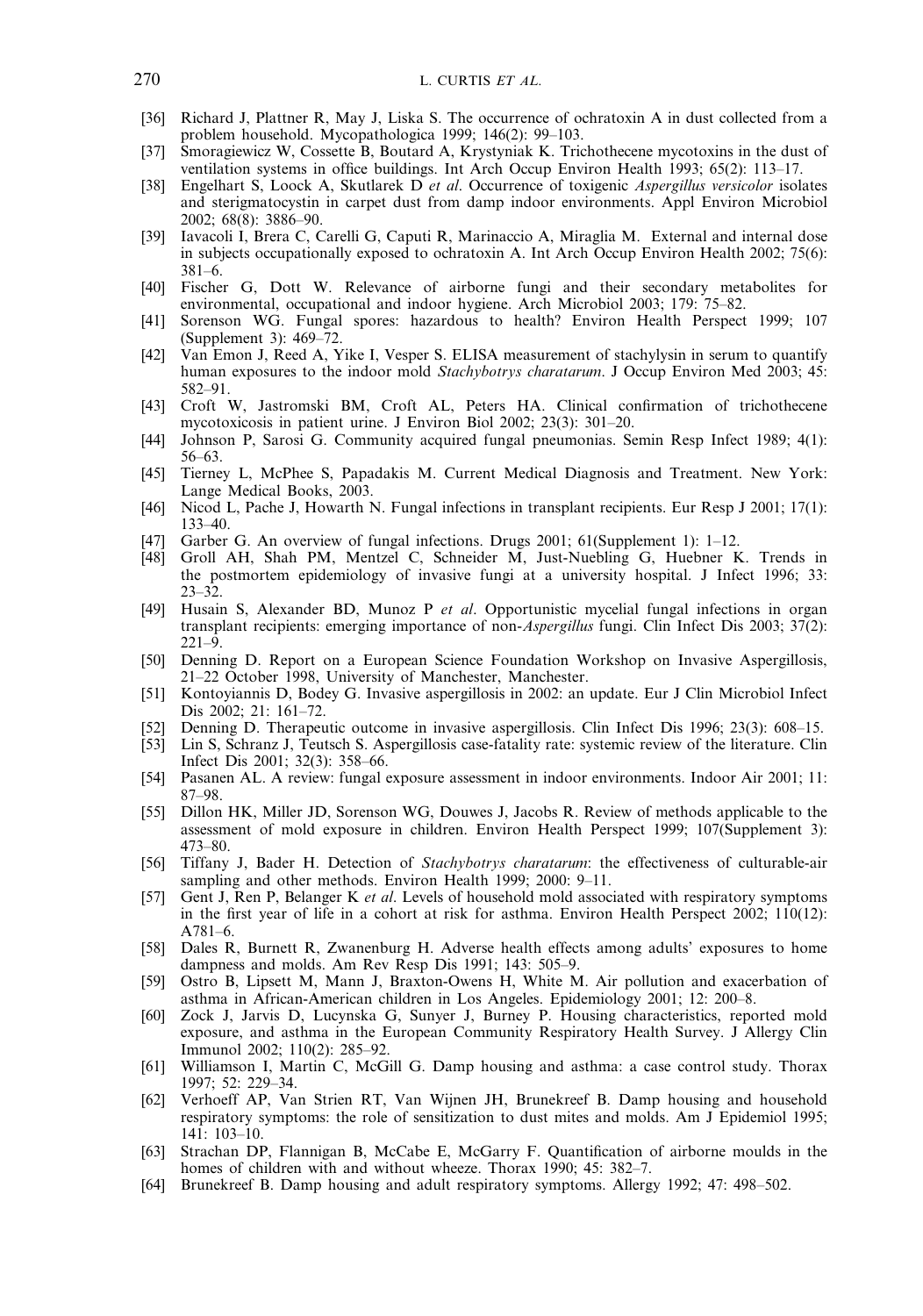#### 270 L. CURTIS ET AL.

- [36] Richard J, Plattner R, May J, Liska S. The occurrence of ochratoxin A in dust collected from a problem household. Mycopathologica 1999; 146(2): 99–103.
- [37] Smoragiewicz W, Cossette B, Boutard A, Krystyniak K. Trichothecene mycotoxins in the dust of ventilation systems in office buildings. Int Arch Occup Environ Health 1993; 65(2): 113–17.
- [38] Engelhart S, Loock A, Skutlarek D et al. Occurrence of toxigenic Aspergillus versicolor isolates and sterigmatocystin in carpet dust from damp indoor environments. Appl Environ Microbiol 2002; 68(8): 3886–90.
- [39] Iavacoli I, Brera C, Carelli G, Caputi R, Marinaccio A, Miraglia M. External and internal dose in subjects occupationally exposed to ochratoxin A. Int Arch Occup Environ Health 2002; 75(6): 381–6.
- [40] Fischer G, Dott W. Relevance of airborne fungi and their secondary metabolites for environmental, occupational and indoor hygiene. Arch Microbiol 2003; 179: 75–82.
- [41] Sorenson WG. Fungal spores: hazardous to health? Environ Health Perspect 1999; 107 (Supplement 3): 469–72.
- [42] Van Emon J, Reed A, Yike I, Vesper S. ELISA measurement of stachylysin in serum to quantify human exposures to the indoor mold *Stachybotrys charatarum*. J Occup Environ Med 2003; 45: 582–91.
- [43] Croft W, Jastromski BM, Croft AL, Peters HA. Clinical confirmation of trichothecene mycotoxicosis in patient urine. J Environ Biol 2002; 23(3): 301–20.
- [44] Johnson P, Sarosi G. Community acquired fungal pneumonias. Semin Resp Infect 1989; 4(1): 56–63.
- [45] Tierney L, McPhee S, Papadakis M. Current Medical Diagnosis and Treatment. New York: Lange Medical Books, 2003.
- [46] Nicod L, Pache J, Howarth N. Fungal infections in transplant recipients. Eur Resp J 2001; 17(1): 133–40.
- [47] Garber G. An overview of fungal infections. Drugs 2001; 61(Supplement 1): 1–12.
- [48] Groll AH, Shah PM, Mentzel C, Schneider M, Just-Nuebling G, Huebner K. Trends in the postmortem epidemiology of invasive fungi at a university hospital. J Infect 1996; 33: 23–32.
- [49] Husain S, Alexander BD, Munoz P et al. Opportunistic mycelial fungal infections in organ transplant recipients: emerging importance of non-Aspergillus fungi. Clin Infect Dis 2003; 37(2): 221–9.
- [50] Denning D. Report on a European Science Foundation Workshop on Invasive Aspergillosis, 21–22 October 1998, University of Manchester, Manchester.
- [51] Kontoyiannis D, Bodey G. Invasive aspergillosis in 2002: an update. Eur J Clin Microbiol Infect Dis 2002; 21: 161–72.
- [52] Denning D. Therapeutic outcome in invasive aspergillosis. Clin Infect Dis 1996; 23(3): 608–15.
- [53] Lin S, Schranz J, Teutsch S. Aspergillosis case-fatality rate: systemic review of the literature. Clin Infect Dis 2001; 32(3): 358–66.
- [54] Pasanen AL. A review: fungal exposure assessment in indoor environments. Indoor Air 2001; 11: 87–98.
- [55] Dillon HK, Miller JD, Sorenson WG, Douwes J, Jacobs R. Review of methods applicable to the assessment of mold exposure in children. Environ Health Perspect 1999; 107(Supplement 3): 473–80.
- [56] Tiffany J, Bader H. Detection of Stachybotrys charatarum: the effectiveness of culturable-air sampling and other methods. Environ Health 1999; 2000: 9–11.
- [57] Gent J, Ren P, Belanger K *et al.* Levels of household mold associated with respiratory symptoms in the first year of life in a cohort at risk for asthma. Environ Health Perspect 2002; 110(12): A781–6.
- [58] Dales R, Burnett R, Zwanenburg H. Adverse health effects among adults' exposures to home dampness and molds. Am Rev Resp Dis 1991; 143: 505–9.
- [59] Ostro B, Lipsett M, Mann J, Braxton-Owens H, White M. Air pollution and exacerbation of asthma in African-American children in Los Angeles. Epidemiology 2001; 12: 200–8.
- [60] Zock J, Jarvis D, Lucynska G, Sunyer J, Burney P. Housing characteristics, reported mold exposure, and asthma in the European Community Respiratory Health Survey. J Allergy Clin Immunol 2002; 110(2): 285–92.
- [61] Williamson I, Martin C, McGill G. Damp housing and asthma: a case control study. Thorax 1997; 52: 229–34.
- [62] Verhoeff AP, Van Strien RT, Van Wijnen JH, Brunekreef B. Damp housing and household respiratory symptoms: the role of sensitization to dust mites and molds. Am J Epidemiol 1995; 141: 103–10.
- [63] Strachan DP, Flannigan B, McCabe E, McGarry F. Quantification of airborne moulds in the homes of children with and without wheeze. Thorax 1990; 45: 382–7.
- [64] Brunekreef B. Damp housing and adult respiratory symptoms. Allergy 1992; 47: 498–502.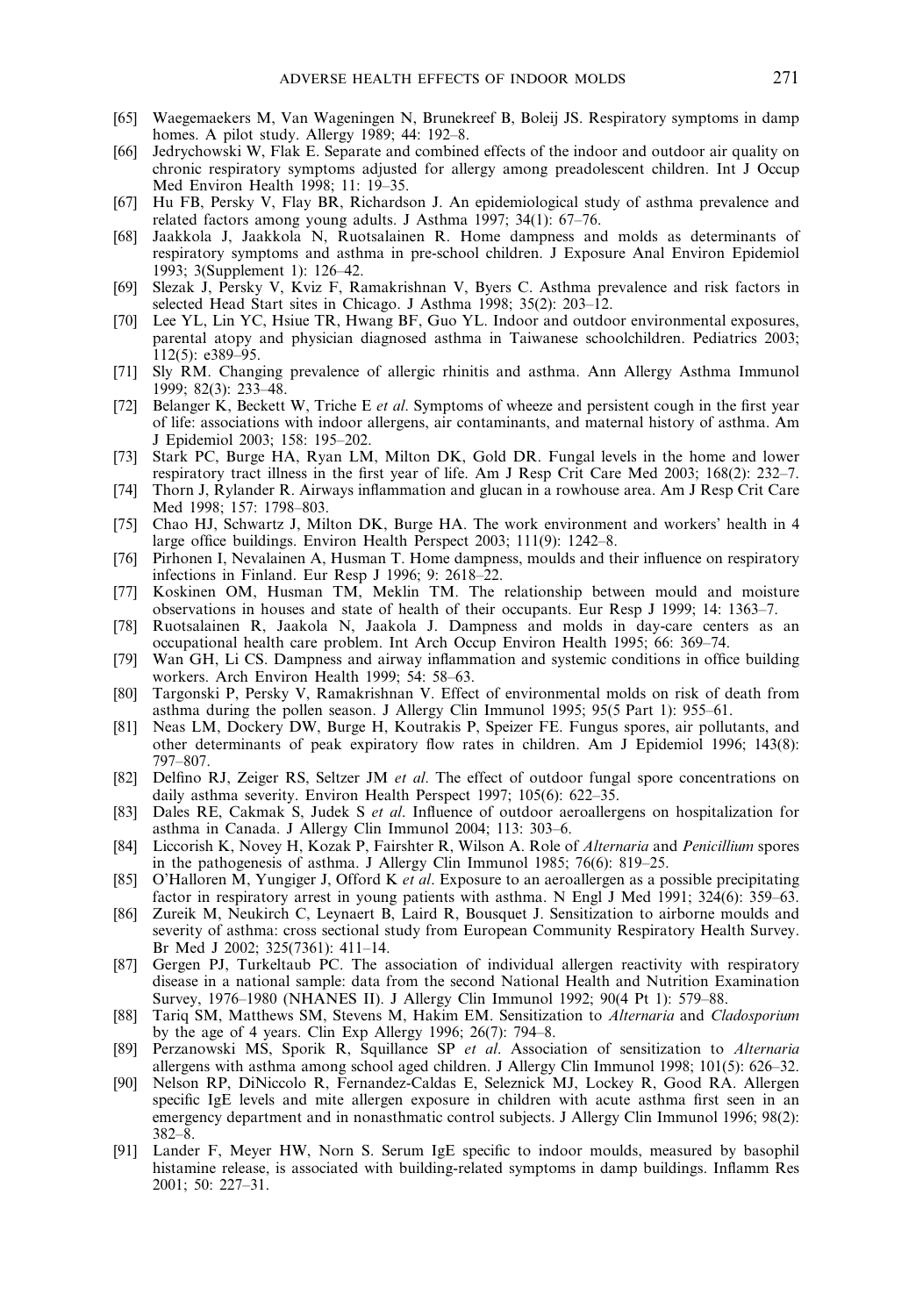- [65] Waegemaekers M, Van Wageningen N, Brunekreef B, Boleij JS. Respiratory symptoms in damp homes. A pilot study. Allergy 1989; 44: 192–8.
- [66] Jedrychowski W, Flak E. Separate and combined effects of the indoor and outdoor air quality on chronic respiratory symptoms adjusted for allergy among preadolescent children. Int J Occup Med Environ Health 1998; 11: 19–35.
- [67] Hu FB, Persky V, Flay BR, Richardson J. An epidemiological study of asthma prevalence and related factors among young adults. J Asthma 1997; 34(1): 67–76.
- [68] Jaakkola J, Jaakkola N, Ruotsalainen R. Home dampness and molds as determinants of respiratory symptoms and asthma in pre-school children. J Exposure Anal Environ Epidemiol 1993; 3(Supplement 1): 126–42.
- [69] Slezak J, Persky V, Kviz F, Ramakrishnan V, Byers C. Asthma prevalence and risk factors in selected Head Start sites in Chicago. J Asthma 1998; 35(2): 203–12.
- [70] Lee YL, Lin YC, Hsiue TR, Hwang BF, Guo YL. Indoor and outdoor environmental exposures, parental atopy and physician diagnosed asthma in Taiwanese schoolchildren. Pediatrics 2003; 112(5): e389–95.
- [71] Sly RM. Changing prevalence of allergic rhinitis and asthma. Ann Allergy Asthma Immunol 1999; 82(3): 233–48.
- [72] Belanger K, Beckett W, Triche E *et al.* Symptoms of wheeze and persistent cough in the first year of life: associations with indoor allergens, air contaminants, and maternal history of asthma. Am J Epidemiol 2003; 158: 195–202.
- [73] Stark PC, Burge HA, Ryan LM, Milton DK, Gold DR. Fungal levels in the home and lower respiratory tract illness in the first year of life. Am J Resp Crit Care Med 2003; 168(2): 232–7.
- [74] Thorn J, Rylander R. Airways inflammation and glucan in a rowhouse area. Am J Resp Crit Care Med 1998; 157: 1798–803.
- [75] Chao HJ, Schwartz J, Milton DK, Burge HA. The work environment and workers' health in 4 large office buildings. Environ Health Perspect 2003; 111(9): 1242–8.
- [76] Pirhonen I, Nevalainen A, Husman T. Home dampness, moulds and their influence on respiratory infections in Finland. Eur Resp J 1996; 9: 2618–22.
- [77] Koskinen OM, Husman TM, Meklin TM. The relationship between mould and moisture observations in houses and state of health of their occupants. Eur Resp J 1999; 14: 1363–7.
- [78] Ruotsalainen R, Jaakola N, Jaakola J. Dampness and molds in day-care centers as an occupational health care problem. Int Arch Occup Environ Health 1995; 66: 369–74.
- [79] Wan GH, Li CS. Dampness and airway inflammation and systemic conditions in office building workers. Arch Environ Health 1999; 54: 58–63.
- [80] Targonski P, Persky V, Ramakrishnan V. Effect of environmental molds on risk of death from asthma during the pollen season. J Allergy Clin Immunol 1995; 95(5 Part 1): 955–61.
- [81] Neas LM, Dockery DW, Burge H, Koutrakis P, Speizer FE. Fungus spores, air pollutants, and other determinants of peak expiratory flow rates in children. Am J Epidemiol 1996; 143(8): 797–807.
- [82] Delfino RJ, Zeiger RS, Seltzer JM et al. The effect of outdoor fungal spore concentrations on daily asthma severity. Environ Health Perspect 1997; 105(6): 622–35.
- [83] Dales RE, Cakmak S, Judek S et al. Influence of outdoor aeroallergens on hospitalization for asthma in Canada. J Allergy Clin Immunol 2004; 113: 303–6.
- [84] Liccorish K, Novey H, Kozak P, Fairshter R, Wilson A. Role of Alternaria and Penicillium spores in the pathogenesis of asthma. J Allergy Clin Immunol 1985; 76(6): 819–25.
- [85] O'Halloren M, Yungiger J, Offord K et al. Exposure to an aeroallergen as a possible precipitating factor in respiratory arrest in young patients with asthma. N Engl J Med 1991; 324(6): 359–63.
- [86] Zureik M, Neukirch C, Leynaert B, Laird R, Bousquet J. Sensitization to airborne moulds and severity of asthma: cross sectional study from European Community Respiratory Health Survey. Br Med J 2002; 325(7361): 411–14.
- [87] Gergen PJ, Turkeltaub PC. The association of individual allergen reactivity with respiratory disease in a national sample: data from the second National Health and Nutrition Examination Survey, 1976–1980 (NHANES II). J Allergy Clin Immunol 1992; 90(4 Pt 1): 579–88.
- [88] Tariq SM, Matthews SM, Stevens M, Hakim EM. Sensitization to Alternaria and Cladosporium by the age of 4 years. Clin Exp Allergy 1996; 26(7): 794–8.
- [89] Perzanowski MS, Sporik R, Squillance SP et al. Association of sensitization to Alternaria allergens with asthma among school aged children. J Allergy Clin Immunol 1998; 101(5): 626–32.
- [90] Nelson RP, DiNiccolo R, Fernandez-Caldas E, Seleznick MJ, Lockey R, Good RA. Allergen specific IgE levels and mite allergen exposure in children with acute asthma first seen in an emergency department and in nonasthmatic control subjects. J Allergy Clin Immunol 1996; 98(2): 382–8.
- [91] Lander F, Meyer HW, Norn S. Serum IgE specific to indoor moulds, measured by basophil histamine release, is associated with building-related symptoms in damp buildings. Inflamm Res 2001; 50: 227–31.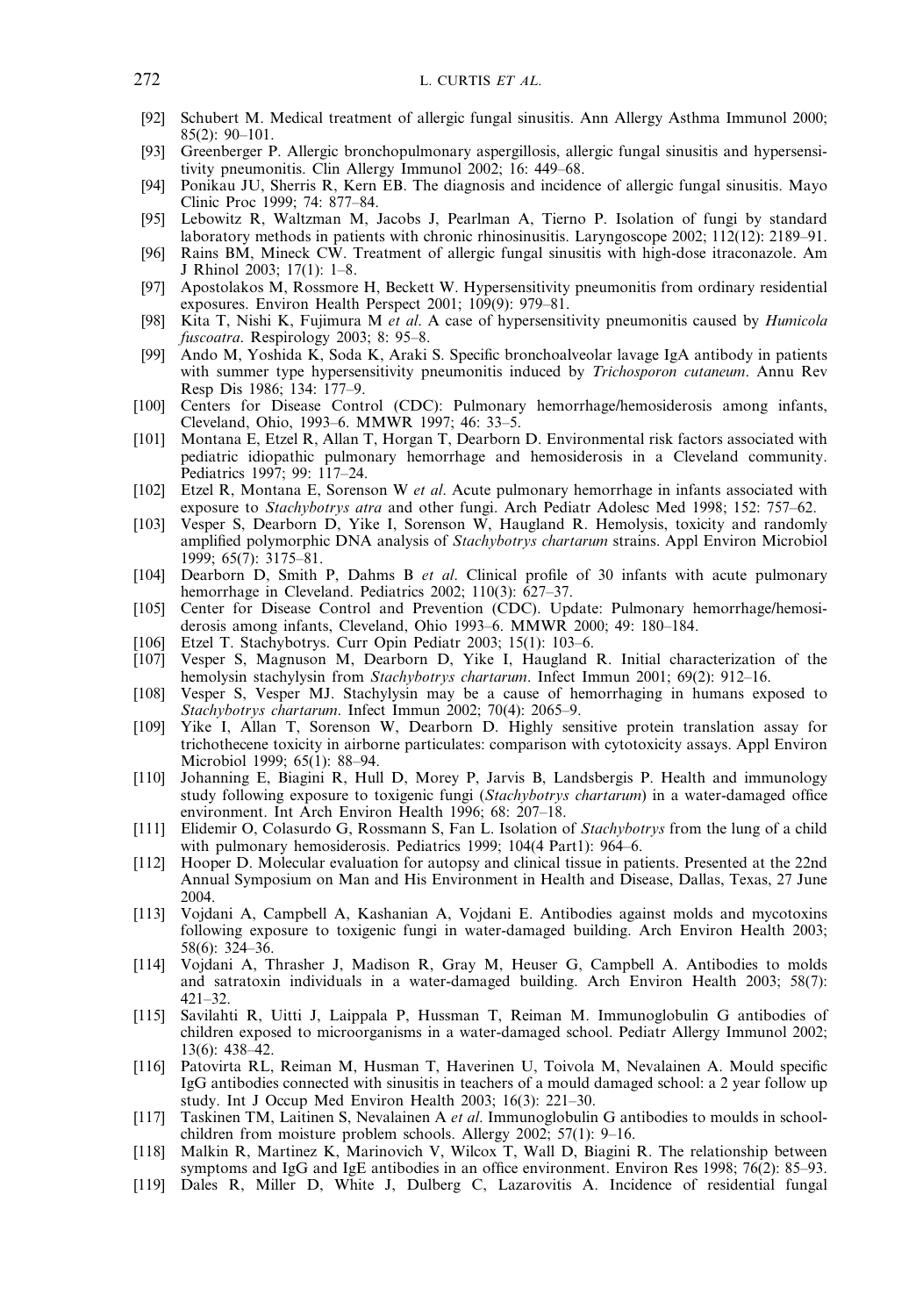- [92] Schubert M. Medical treatment of allergic fungal sinusitis. Ann Allergy Asthma Immunol 2000; 85(2): 90–101.
- [93] Greenberger P. Allergic bronchopulmonary aspergillosis, allergic fungal sinusitis and hypersensitivity pneumonitis. Clin Allergy Immunol 2002; 16: 449–68.
- [94] Ponikau JU, Sherris R, Kern EB. The diagnosis and incidence of allergic fungal sinusitis. Mayo Clinic Proc 1999; 74: 877–84.
- [95] Lebowitz R, Waltzman M, Jacobs J, Pearlman A, Tierno P. Isolation of fungi by standard laboratory methods in patients with chronic rhinosinusitis. Laryngoscope 2002; 112(12): 2189–91.
- [96] Rains BM, Mineck CW. Treatment of allergic fungal sinusitis with high-dose itraconazole. Am J Rhinol 2003; 17(1): 1–8.
- [97] Apostolakos M, Rossmore H, Beckett W. Hypersensitivity pneumonitis from ordinary residential exposures. Environ Health Perspect 2001; 109(9): 979–81.
- [98] Kita T, Nishi K, Fujimura M et al. A case of hypersensitivity pneumonitis caused by Humicola fuscoatra. Respirology 2003; 8: 95–8.
- [99] Ando M, Yoshida K, Soda K, Araki S. Specific bronchoalveolar lavage IgA antibody in patients with summer type hypersensitivity pneumonitis induced by *Trichosporon cutaneum*. Annu Rev Resp Dis 1986; 134: 177–9.
- [100] Centers for Disease Control (CDC): Pulmonary hemorrhage/hemosiderosis among infants, Cleveland, Ohio, 1993–6. MMWR 1997; 46: 33–5.
- [101] Montana E, Etzel R, Allan T, Horgan T, Dearborn D. Environmental risk factors associated with pediatric idiopathic pulmonary hemorrhage and hemosiderosis in a Cleveland community. Pediatrics 1997; 99: 117–24.
- [102] Etzel R, Montana E, Sorenson W et al. Acute pulmonary hemorrhage in infants associated with exposure to Stachybotrys atra and other fungi. Arch Pediatr Adolesc Med 1998; 152: 757–62.
- [103] Vesper S, Dearborn D, Yike I, Sorenson W, Haugland R. Hemolysis, toxicity and randomly amplified polymorphic DNA analysis of Stachybotrys chartarum strains. Appl Environ Microbiol 1999; 65(7): 3175–81.
- [104] Dearborn D, Smith P, Dahms B et al. Clinical profile of 30 infants with acute pulmonary hemorrhage in Cleveland. Pediatrics 2002; 110(3): 627–37.
- [105] Center for Disease Control and Prevention (CDC). Update: Pulmonary hemorrhage/hemosiderosis among infants, Cleveland, Ohio 1993–6. MMWR 2000; 49: 180–184.
- [106] Etzel T. Stachybotrys. Curr Opin Pediatr 2003; 15(1): 103–6.
- [107] Vesper S, Magnuson M, Dearborn D, Yike I, Haugland R. Initial characterization of the hemolysin stachylysin from Stachybotrys chartarum. Infect Immun 2001; 69(2): 912-16.
- [108] Vesper S, Vesper MJ. Stachylysin may be a cause of hemorrhaging in humans exposed to Stachybotrys chartarum. Infect Immun 2002; 70(4): 2065–9.
- [109] Yike I, Allan T, Sorenson W, Dearborn D. Highly sensitive protein translation assay for trichothecene toxicity in airborne particulates: comparison with cytotoxicity assays. Appl Environ Microbiol 1999; 65(1): 88–94.
- [110] Johanning E, Biagini R, Hull D, Morey P, Jarvis B, Landsbergis P. Health and immunology study following exposure to toxigenic fungi (Stachybotrys chartarum) in a water-damaged office environment. Int Arch Environ Health 1996; 68: 207–18.
- [111] Elidemir O, Colasurdo G, Rossmann S, Fan L. Isolation of *Stachybotrys* from the lung of a child with pulmonary hemosiderosis. Pediatrics 1999; 104(4 Part1): 964–6.
- [112] Hooper D. Molecular evaluation for autopsy and clinical tissue in patients. Presented at the 22nd Annual Symposium on Man and His Environment in Health and Disease, Dallas, Texas, 27 June 2004.
- [113] Vojdani A, Campbell A, Kashanian A, Vojdani E. Antibodies against molds and mycotoxins following exposure to toxigenic fungi in water-damaged building. Arch Environ Health 2003; 58(6): 324–36.
- [114] Vojdani A, Thrasher J, Madison R, Gray M, Heuser G, Campbell A. Antibodies to molds and satratoxin individuals in a water-damaged building. Arch Environ Health 2003; 58(7): 421–32.
- [115] Savilahti R, Uitti J, Laippala P, Hussman T, Reiman M. Immunoglobulin G antibodies of children exposed to microorganisms in a water-damaged school. Pediatr Allergy Immunol 2002; 13(6): 438–42.
- [116] Patovirta RL, Reiman M, Husman T, Haverinen U, Toivola M, Nevalainen A. Mould specific IgG antibodies connected with sinusitis in teachers of a mould damaged school: a 2 year follow up study. Int J Occup Med Environ Health 2003; 16(3): 221–30.
- [117] Taskinen TM, Laitinen S, Nevalainen A et al. Immunoglobulin G antibodies to moulds in schoolchildren from moisture problem schools. Allergy 2002; 57(1): 9–16.
- [118] Malkin R, Martinez K, Marinovich V, Wilcox T, Wall D, Biagini R. The relationship between symptoms and IgG and IgE antibodies in an office environment. Environ Res 1998; 76(2): 85–93.
- [119] Dales R, Miller D, White J, Dulberg C, Lazarovitis A. Incidence of residential fungal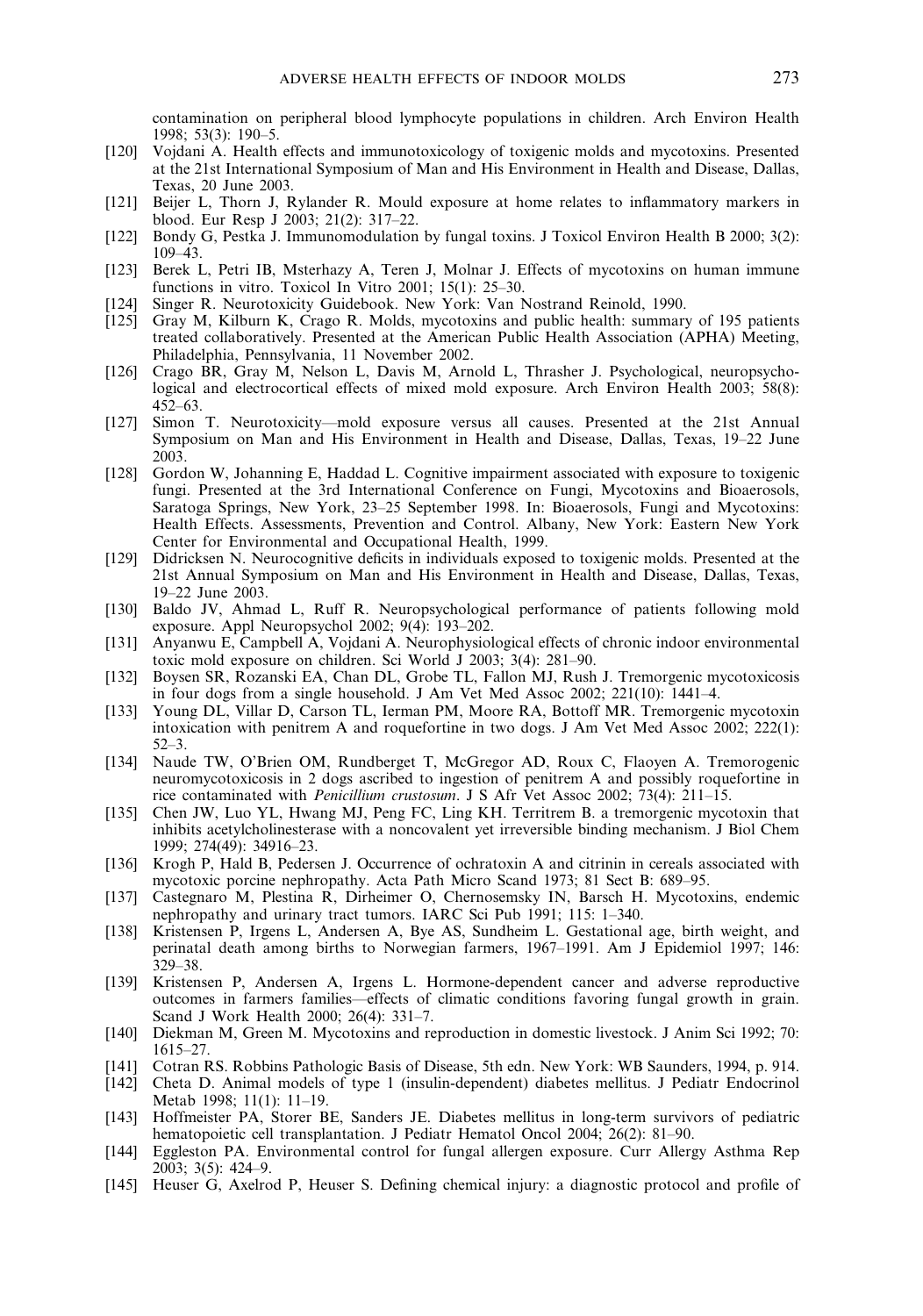contamination on peripheral blood lymphocyte populations in children. Arch Environ Health 1998; 53(3): 190–5.

- [120] Vojdani A. Health effects and immunotoxicology of toxigenic molds and mycotoxins. Presented at the 21st International Symposium of Man and His Environment in Health and Disease, Dallas, Texas, 20 June 2003.
- [121] Beijer L, Thorn J, Rylander R. Mould exposure at home relates to inflammatory markers in blood. Eur Resp J 2003; 21(2): 317–22.
- [122] Bondy G, Pestka J. Immunomodulation by fungal toxins. J Toxicol Environ Health B 2000; 3(2): 109–43.
- [123] Berek L, Petri IB, Msterhazy A, Teren J, Molnar J. Effects of mycotoxins on human immune functions in vitro. Toxicol In Vitro 2001; 15(1): 25–30.
- [124] Singer R. Neurotoxicity Guidebook. New York: Van Nostrand Reinold, 1990.
- [125] Gray M, Kilburn K, Crago R. Molds, mycotoxins and public health: summary of 195 patients treated collaboratively. Presented at the American Public Health Association (APHA) Meeting, Philadelphia, Pennsylvania, 11 November 2002.
- [126] Crago BR, Gray M, Nelson L, Davis M, Arnold L, Thrasher J. Psychological, neuropsychological and electrocortical effects of mixed mold exposure. Arch Environ Health 2003; 58(8): 452–63.
- [127] Simon T. Neurotoxicity—mold exposure versus all causes. Presented at the 21st Annual Symposium on Man and His Environment in Health and Disease, Dallas, Texas, 19–22 June 2003.
- [128] Gordon W, Johanning E, Haddad L. Cognitive impairment associated with exposure to toxigenic fungi. Presented at the 3rd International Conference on Fungi, Mycotoxins and Bioaerosols, Saratoga Springs, New York, 23–25 September 1998. In: Bioaerosols, Fungi and Mycotoxins: Health Effects. Assessments, Prevention and Control. Albany, New York: Eastern New York Center for Environmental and Occupational Health, 1999.
- [129] Didricksen N. Neurocognitive deficits in individuals exposed to toxigenic molds. Presented at the 21st Annual Symposium on Man and His Environment in Health and Disease, Dallas, Texas, 19–22 June 2003.
- [130] Baldo JV, Ahmad L, Ruff R. Neuropsychological performance of patients following mold exposure. Appl Neuropsychol 2002; 9(4): 193–202.
- [131] Anyanwu E, Campbell A, Vojdani A. Neurophysiological effects of chronic indoor environmental toxic mold exposure on children. Sci World J 2003; 3(4): 281–90.
- [132] Boysen SR, Rozanski EA, Chan DL, Grobe TL, Fallon MJ, Rush J. Tremorgenic mycotoxicosis in four dogs from a single household. J Am Vet Med Assoc 2002; 221(10): 1441–4.
- [133] Young DL, Villar D, Carson TL, Ierman PM, Moore RA, Bottoff MR. Tremorgenic mycotoxin intoxication with penitrem A and roquefortine in two dogs. J Am Vet Med Assoc 2002; 222(1): 52–3.
- [134] Naude TW, O'Brien OM, Rundberget T, McGregor AD, Roux C, Flaoyen A. Tremorogenic neuromycotoxicosis in 2 dogs ascribed to ingestion of penitrem A and possibly roquefortine in rice contaminated with Penicillium crustosum. J S Afr Vet Assoc 2002; 73(4): 211–15.
- [135] Chen JW, Luo YL, Hwang MJ, Peng FC, Ling KH. Territrem B. a tremorgenic mycotoxin that inhibits acetylcholinesterase with a noncovalent yet irreversible binding mechanism. J Biol Chem 1999; 274(49): 34916–23.
- [136] Krogh P, Hald B, Pedersen J. Occurrence of ochratoxin A and citrinin in cereals associated with mycotoxic porcine nephropathy. Acta Path Micro Scand 1973; 81 Sect B: 689–95.
- [137] Castegnaro M, Plestina R, Dirheimer O, Chernosemsky IN, Barsch H. Mycotoxins, endemic nephropathy and urinary tract tumors. IARC Sci Pub 1991; 115: 1–340.
- [138] Kristensen P, Irgens L, Andersen A, Bye AS, Sundheim L. Gestational age, birth weight, and perinatal death among births to Norwegian farmers, 1967–1991. Am J Epidemiol 1997; 146: 329–38.
- [139] Kristensen P, Andersen A, Irgens L. Hormone-dependent cancer and adverse reproductive outcomes in farmers families—effects of climatic conditions favoring fungal growth in grain. Scand J Work Health 2000; 26(4): 331–7.
- [140] Diekman M, Green M. Mycotoxins and reproduction in domestic livestock. J Anim Sci 1992; 70: 1615–27.
- [141] Cotran RS. Robbins Pathologic Basis of Disease, 5th edn. New York: WB Saunders, 1994, p. 914.
- [142] Cheta D. Animal models of type 1 (insulin-dependent) diabetes mellitus. J Pediatr Endocrinol Metab 1998; 11(1): 11–19.
- [143] Hoffmeister PA, Storer BE, Sanders JE. Diabetes mellitus in long-term survivors of pediatric hematopoietic cell transplantation. J Pediatr Hematol Oncol 2004; 26(2): 81–90.
- [144] Eggleston PA. Environmental control for fungal allergen exposure. Curr Allergy Asthma Rep 2003; 3(5): 424–9.
- [145] Heuser G, Axelrod P, Heuser S. Defining chemical injury: a diagnostic protocol and profile of